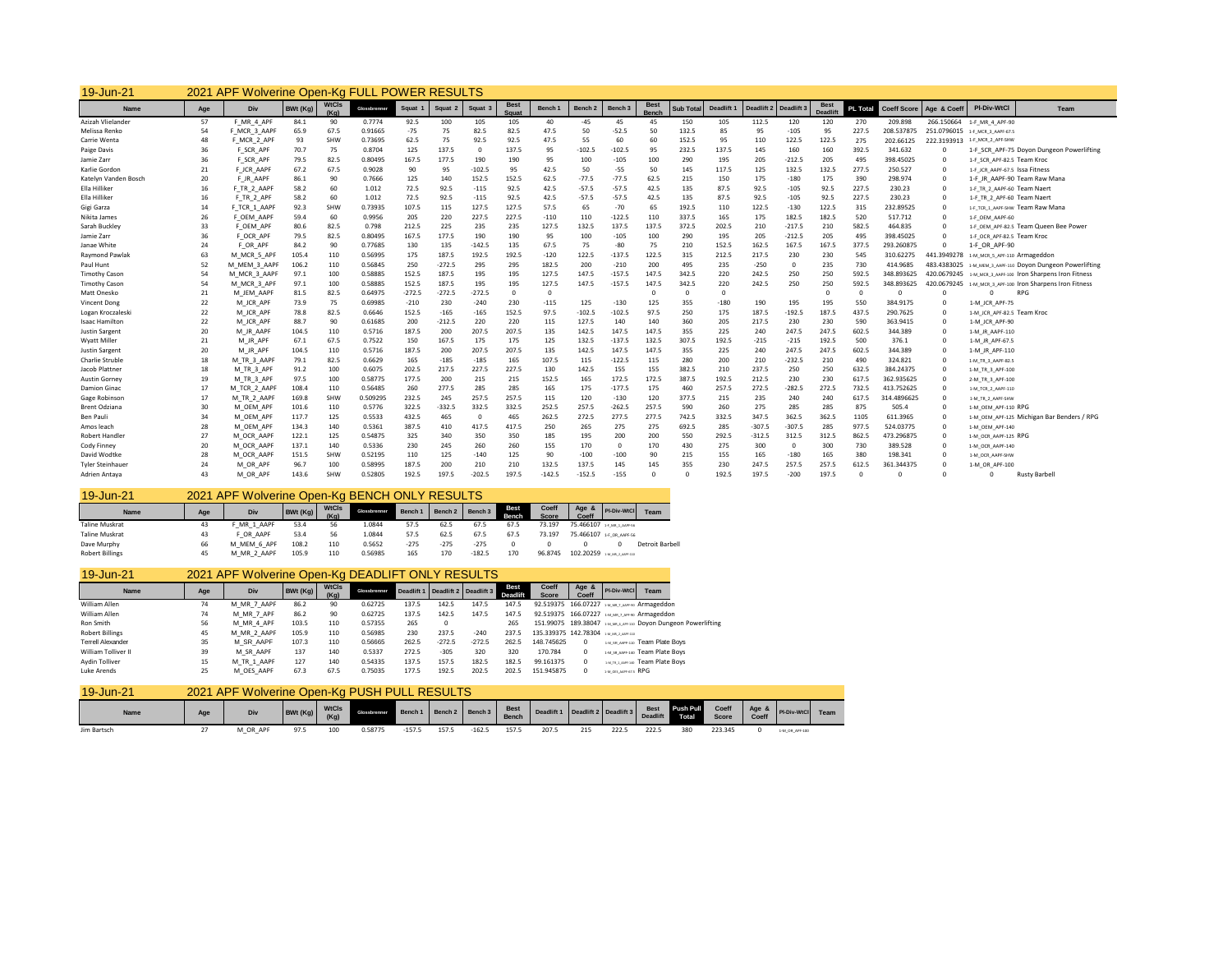| 19-Jun-21               | 2021 | APF Wolverine Open-Kg FULL POWER RESULTS |          |                      |              |          |          |          |                      |          |                    |                    |                             |                  |            |            |            |                                |                 |                    |             |                                               |
|-------------------------|------|------------------------------------------|----------|----------------------|--------------|----------|----------|----------|----------------------|----------|--------------------|--------------------|-----------------------------|------------------|------------|------------|------------|--------------------------------|-----------------|--------------------|-------------|-----------------------------------------------|
| Name                    | Age  | Div                                      | BWt (Ka) | <b>WtCls</b><br>(Ka) | Glossbrenner | Squat 1  | Squat 2  | Squat 3  | <b>Best</b><br>Squat | Bench 1  | Bench <sub>2</sub> | Bench <sub>3</sub> | <b>Best</b><br><b>Benci</b> | <b>Sub Total</b> | Deadlift 1 | Deadlift 2 | Deadlift 3 | <b>Best</b><br><b>Deadlift</b> | <b>PL Total</b> | <b>Coeff Score</b> | Age & Coeff | <b>PI-Div-WtCl</b><br><b>Team</b>             |
| Azizah Vlielander       | 57   | F MR 4 APF                               | 84.1     | 90                   | 0.7774       | 92.5     | 100      | 105      | 105                  | 40       | $-45$              | 45                 | 45                          | 150              | 105        | 112.5      | 120        | 120                            | 270             | 209.898            | 266.150664  | 1-F MR 4 APF-90                               |
| Melissa Renko           | 54   | F MCR 3 AAPF                             | 65.9     | 67.5                 | 0.91665      | $-75$    | 75       | 82.5     | 82.5                 | 47.5     | 50                 | $-52.5$            | 50                          | 132.5            | 85         | 95         | $-105$     | 95                             | 227.5           | 208.53787          |             | 251.0796015 1-F MCR 3 AAPF-67.5               |
| Carrie Wenta            | 48   | F MCR 2 APF                              | 93       | SHW                  | 0.73695      | 62.5     | 75       | 92.5     | 92.5                 | 47.5     | 55                 | 60                 | 60                          | 152.5            | 95         | 110        | 122.5      | 122.5                          | 275             | 202.66125          |             | 222.3193913 1-F_MCR_2_APF-SHW                 |
| Paige Davis             | 36   | F SCR APF                                | 70.7     | 75                   | 0.8704       | 125      | 137.5    | n        | 137.5                | 95       | $-102.5$           | $-102.5$           | 95                          | 232.5            | 137.5      | 145        | 160        | 160                            | 392.5           | 341.632            | $\Omega$    | 1-F SCR APF-75 Doyon Dungeon Powerlifting     |
| Jamie Zarr              | 36   | F SCR APF                                | 79.5     | 82.5                 | 0.80495      | 167.5    | 177.5    | 190      | 190                  | 95       | 100                | $-105$             | 100                         | 290              | 195        | 205        | $-212.5$   | 205                            | 495             | 398.45025          | $\circ$     | 1-F SCR APF-82.5 Team Kroc                    |
| Karlie Gordon           | 21   | F JCR AAPF                               | 67.2     | 67.5                 | 0.9028       | 90       | 95       | $-102.5$ | 95                   | 42.5     | 50                 | $-55$              | 50                          | 145              | 117.5      | 125        | 132.5      | 132.5                          | 277.5           | 250.527            | $\mathbf 0$ | 1-F JCR AAPF-67.5 ISSA Fitness                |
| Katelyn Vanden Bosch    | 20   | F JR AAPF                                | 86.1     | 90                   | 0.7666       | 125      | 140      | 152.5    | 152.5                | 62.5     | $-77.5$            | $-77.5$            | 62.5                        | 215              | 150        | 175        | $-180$     | 175                            | 390             | 298.974            | $\mathbf 0$ | 1-F JR AAPF-90 Team Raw Mana                  |
| Ella Hilliker           | 16   | F TR 2 AAPF                              | 58.2     | 60                   | 1.012        | 72.5     | 92.5     | $-115$   | 92.5                 | 42.5     | $-57.5$            | $-57.5$            | 42.5                        | 135              | 87.5       | 92.5       | $-105$     | 92.5                           | 227.5           | 230.23             | $\Omega$    | 1-F TR 2 AAPF-60 Team Naer                    |
| Ella Hilliker           | 16   | F TR 2 APF                               | 58.2     | 60                   | 1.012        | 72.5     | 92.5     | $-115$   | 92.5                 | 42.5     | $-57.5$            | $-57.5$            | 42.5                        | 135              | 87.5       | 92.5       | $-105$     | 92.5                           | 227.5           | 230.23             | $\mathbf 0$ | 1-F TR 2 APF-60 Team Naer                     |
| Gigi Garza              | 14   | F TCR 1 AAPF                             | 92.3     | SHW                  | 0.73935      | 107.5    | 115      | 127.5    | 127.5                | 57.5     | 65                 | $-70$              | 65                          | 192.5            | 110        | 122.5      | $-130$     | 122.5                          | 315             | 232.89525          | $\mathbf 0$ | 1-F TCR 1 AAPF-SHW Team Raw Mana              |
| Nikita James            | 26   | F OEM AAPF                               | 59.4     | 60                   | 0.9956       | 205      | 220      | 227.5    | 227.5                | $-110$   | 110                | $-122.5$           | 110                         | 337.5            | 165        | 175        | 182.5      | 182.5                          | 520             | 517.712            | $\circ$     | 1-F OEM AAPF-60                               |
| Sarah Buckley           | 33   | F OEM APF                                | 80.6     | 82.5                 | 0.798        | 212.5    | 225      | 235      | 235                  | 127.5    | 132.5              | 137.5              | 137.5                       | 372.5            | 202.5      | 210        | $-217.5$   | 210                            | 582.5           | 464.835            | $\mathbf 0$ | 1-F OEM APF-82.5 Team Queen Bee Power         |
| Jamie Zarr              | 36   | F OCR APF                                | 79.5     | 82.5                 | 0.80495      | 167.5    | 177.5    | 190      | 190                  | 95       | 100                | $-105$             | 100                         | 290              | 195        | 205        | $-212.5$   | 205                            | 495             | 398.45025          | $\mathbf 0$ | 1-F OCR APF-82.5 Team Kroo                    |
| Janae White             | 24   | F OR APF                                 | 84.2     | 90                   | 0.77685      | 130      | 135      | $-142.5$ | 135                  | 67.5     | 75                 | $-80$              | 75                          | 210              | 152.5      | 162.5      | 167.5      | 167.5                          | 377.5           | 293.260875         | $\Omega$    | 1-F OR APF-90                                 |
| Raymond Pawlak          | 63   | M MCR 5 API                              | 105.4    | 110                  | 0.56995      | 175      | 187.5    | 192.5    | 192.5                | $-120$   | 122.5              | $-137.5$           | 122.5                       | 315              | 212.5      | 217.5      | 230        | 230                            | 545             | 310.62275          | 441.3949278 | 1-M MCR 5 APF-110 Armageddon                  |
| Paul Hunt               | 52   | M MEM 3 AAPI                             | 106.2    | 110                  | 0.56845      | 250      | $-272.5$ | 295      | 295                  | 182.5    | 200                | $-210$             | 200                         | 495              | 235        | $-250$     | $\Omega$   | 235                            | 730             | 414.9685           | 483.4383025 | 1-M MEM 3 AAPF-110 DOVON Dungeon Powerlifting |
| <b>Timothy Cason</b>    | 54   | M MCR 3 AAPF                             | 97.1     | 100                  | 0.58885      | 152.5    | 187.5    | 195      | 195                  | 127.5    | 147.5              | $-157.5$           | 147.5                       | 342.5            | 220        | 242.5      | 250        | 250                            | 592.5           | 348.893625         | 420.0679245 | 1-M MCR 3 AAPF-100 Iron Sharpens Iron Fitness |
| <b>Timothy Cason</b>    | 54   | M MCR 3 APF                              | 97.1     | 100                  | 0.58885      | 152.5    | 187.5    | 195      | 195                  | 127.5    | 147.5              | $-157.5$           | 147.5                       | 342.5            | 220        | 242.5      | 250        | 250                            | 592.5           | 348.893625         | 420.0679245 | 1-M MCR 3 APF-100 Iron Sharpens Iron Fitness  |
| Matt Onesko             | 21   | M JEM AAPF                               | 81.5     | 82.5                 | 0.64975      | $-272.5$ | $-272.5$ | $-272.5$ | $\Omega$             | $\Omega$ |                    |                    | $\Omega$                    | n                | $\Omega$   |            |            |                                | $\Omega$        | $\Omega$           | $\Omega$    | <b>RPG</b>                                    |
| Vincent Dong            | 22   | M JCR APF                                | 73.9     | 75                   | 0.69985      | $-210$   | 230      | $-240$   | 230                  | $-115$   | 125                | $-130$             | 125                         | 355              | $-180$     | 190        | 195        | 195                            | 550             | 384.9175           | $\mathbf 0$ | 1-M JCR APF-75                                |
| Logan Kroczaleski       | 22   | M JCR APF                                | 78.8     | 82.5                 | 0.6646       | 152.5    | $-165$   | $-165$   | 152.5                | 97.5     | $-102.5$           | $-102.5$           | 97.5                        | 250              | 175        | 187.5      | $-192.5$   | 187.5                          | 437.5           | 290.7625           | $\mathbf 0$ | 1-M JCR APF-82.5 Team Kroo                    |
| Isaac Hamiltor          | 22   | M JCR APF                                | 88.7     | 90                   | 0.61685      | 200      | $-212.5$ | 220      | 220                  | 115      | 127.5              | 140                | 140                         | 360              | 205        | 217.5      | 230        | 230                            | 590             | 363.9415           | $\mathbf 0$ | 1-M JCR APF-90                                |
| Justin Sargent          | 20   | M JR AAPF                                | 104.5    | 110                  | 0.5716       | 187.5    | 200      | 207.5    | 207.5                | 135      | 142.5              | 147.5              | 147.5                       | 355              | 225        | 240        | 247.5      | 247.5                          | 602.5           | 344.389            | $\mathbf 0$ | 1-M_JR_AAPF-110                               |
| Wyatt Miller            | 21   | M JR APF                                 | 67.1     | 67.5                 | 0.7522       | 150      | 167.5    | 175      | 175                  | 125      | 132.5              | $-137.5$           | 132.5                       | 307.5            | 192.5      | $-215$     | $-215$     | 192.5                          | 500             | 376.1              | $\Omega$    | 1-M JR APF-67.5                               |
| <b>Justin Sargent</b>   | 20   | M JR APF                                 | 104.5    | 110                  | 0.5716       | 187.5    | 200      | 207.5    | 207.5                | 135      | 142.5              | 147.5              | 147.5                       | 355              | 225        | 240        | 247.5      | 247.5                          | 602.5           | 344.389            | $\Omega$    | 1-M JR APF-110                                |
| Charlie Struble         | 18   | M TR 3 AAPF                              | 79.1     | 82.5                 | 0.6629       | 165      | $-185$   | $-185$   | 165                  | 107.5    | 115                | $-122.5$           | 115                         | 280              | 200        | 210        | $-232.5$   | 210                            | 490             | 324.821            | $\Omega$    | 1-M TR 3 AAPF-82.5                            |
| Jacob Plattner          | 18   | M TR 3 APF                               | 91.2     | 100                  | 0.6075       | 202.5    | 217.5    | 227.5    | 227.5                | 130      | 142.5              | 155                | 155                         | 382.5            | 210        | 237.5      | 250        | 250                            | 632.5           | 384.24375          | $\mathbf 0$ | 1-M TR 3 APF-100                              |
| Austin Gorney           | 19   | M TR 3 APF                               | 97.5     | 100                  | 0.58775      | 177.5    | 200      | 215      | 215                  | 152.5    | 165                | 172.5              | 172.5                       | 387.5            | 192.5      | 212.5      | 230        | 230                            | 617.5           | 362.935625         | $\Omega$    | 2-M TR 3 APF-100                              |
| <b>Damion Ginac</b>     | 17   | M TCR 2 AAPF                             | 108.4    | 110                  | 0.56485      | 260      | 277.5    | 285      | 285                  | 165      | 175                | $-177.5$           | 175                         | 460              | 257.5      | 272.5      | $-282.5$   | 272.5                          | 732.5           | 413.752625         | $\mathbf 0$ | 1-M TCR 2 AAPF-110                            |
| Gage Robinson           | 17   | M TR 2 AAPF                              | 169.8    | SHW                  | 0.509295     | 232.5    | 245      | 257.5    | 257.5                | 115      | 120                | $-130$             | 120                         | 377.5            | 215        | 235        | 240        | 240                            | 617.5           | 314.4896625        | $\mathbf 0$ | 1-M TR 2 AAPF-SHW                             |
| <b>Brent Odziana</b>    | 30   | M OEM APF                                | 101.6    | 110                  | 0.5776       | 322.5    | $-332.5$ | 332.5    | 332.5                | 252.5    | 257.5              | $-262.5$           | 257.5                       | 590              | 260        | 275        | 285        | 285                            | 875             | 505.4              | $\mathbf 0$ | 1-M OEM APF-110 RPG                           |
| Ben Pauli               | 34   | M OEM APF                                | 117.7    | 125                  | 0.5533       | 432.5    | 465      | $\Omega$ | 465                  | 262.5    | 272.5              | 277.5              | 277.5                       | 742.5            | 332.5      | 347.5      | 362.5      | 362.5                          | 1105            | 611.3965           | $\mathbf 0$ | 1-M OEM APF-125 Michigan Bar Benders / RPG    |
| Amos leach              | 28   | M OEM APF                                | 134.3    | 140                  | 0.5361       | 387.5    | 410      | 417.5    | 417.5                | 250      | 265                | 275                | 275                         | 692.5            | 285        | $-307.5$   | $-307.5$   | 285                            | 977.5           | 524.03775          | $\mathbf 0$ | 1-M OEM APF-140                               |
| Robert Handler          | 27   | M OCR AAPF                               | 122.1    | 125                  | 0.54875      | 325      | 340      | 350      | 350                  | 185      | 195                | 200                | 200                         | 550              | 292.5      | $-312.5$   | 312.5      | 312.5                          | 862.5           | 473.296875         | $\mathbf 0$ | 1-M OCR AAPF-125 RPG                          |
| Cody Finney             | 20   | M OCR AAP                                | 137.1    | 140                  | 0.5336       | 230      | 245      | 260      | 260                  | 155      | 170                | $\Omega$           | 170                         | 430              | 275        | 300        | $\Omega$   | 300                            | 730             | 389.528            | $\Omega$    | 1-M OCR AAPF-140                              |
| David Wodtke            | 28   | M OCR AAPI                               | 151.5    | SHW                  | 0.52195      | 110      | 125      | $-140$   | 125                  | 90       | $-100$             | $-100$             | 90                          | 215              | 155        | 165        | $-180$     | 165                            | 380             | 198.341            | $\mathbf 0$ | 1-M OCR AAPF-SHW                              |
| <b>Tyler Steinhauer</b> | 24   | M OR APF                                 | 96.7     | 100                  | 0.58995      | 187.5    | 200      | 210      | 210                  | 132.5    | 137.5              | 145                | 145                         | 355              | 230        | 247.5      | 257.5      | 257.5                          | 612.5           | 361.344375         | $\Omega$    | 1-M OR APF-100                                |
| Adrien Antava           | 43   | M OR APF                                 | 143.6    | SHW                  | 0.52805      | 192.5    | 197.5    | $-202.5$ | 197.5                | $-142.5$ | $-152.5$           | $-155$             | $\Omega$                    |                  | 192.5      | 197.5      | $-200$     | 197.5                          | $\Omega$        | $\Omega$           | $\Omega$    | <b>Rusty Barbel</b>                           |

| 19-Jun-21              |     | 2021 APF Wolverine Open-Kg BENCH ONLY RESULTS |         |                      |              |         |                    |          |               |                |              |                            |                        |
|------------------------|-----|-----------------------------------------------|---------|----------------------|--------------|---------|--------------------|----------|---------------|----------------|--------------|----------------------------|------------------------|
| Name                   | Age | Div                                           | BWt(Kg) | <b>WtCls</b><br>(Ka) | Glossbrenner | Bench 1 | Bench <sub>2</sub> | Bench 3  | Best<br>Bench | Coeff<br>Score | Age<br>Coeff | PI-Div-WtCl                | Team                   |
| <b>Taline Muskrat</b>  | 43  | F MR 1 AAPF                                   | 53.4    | 56                   | 1.0844       | 57.5    | 62.5               | 67.5     | 67.5          | 73.197         |              | 75.466107 1-F MR 1 AAPT-36 |                        |
| <b>Taline Muskrat</b>  | 43  | F OR AAPF                                     | 53.4    | 56                   | 1.0844       | 57.5    | 62.5               | 67.5     | 67.5          | 73.197         |              | 75.466107 1-F OR AAPF-56   |                        |
| Dave Murphy            | 66  | M MEM 6 APF                                   | 108.2   | 110                  | 0.5652       | $-275$  | $-275$             | $-275$   |               |                |              |                            | <b>Detroit Barbell</b> |
| <b>Robert Billings</b> | 45  | M MR 2 AAPF                                   | 105.9   | 110                  | 0.56985      | 165     | 170                | $-182.5$ | 170           | 96.8745        |              | 102.20259 1-M MR 2 AMF-130 |                        |

| 19-Jun-21                |     | 2021 APF Wolverine Open-Kg DEADLIFT ONLY RESULTS |          |               |              |            |                       |          |                  |                                       |                  |                     |                                                              |
|--------------------------|-----|--------------------------------------------------|----------|---------------|--------------|------------|-----------------------|----------|------------------|---------------------------------------|------------------|---------------------|--------------------------------------------------------------|
| Name                     | Age | Div                                              | BWt (Kg) | WtCls<br>(Ka) | Glossbrenner | Deadlift 1 | Deadlift 2 Deadlift 3 |          | Best<br>Deadlift | Coeff<br>Score                        | Age $8$<br>Coeff | PI-Div-WtCl         | Team                                                         |
| William Allen            | 74  | M MR 7 AAPF                                      | 86.2     | 90            | 0.62725      | 137.5      | 142.5                 | 147.5    | 147.5            |                                       |                  |                     | 92.519375 166.07227 1MLMR.7 AAPT-90 Armageddon               |
| William Allen            | 74  | M MR 7 APF                                       | 86.2     | 90            | 0.62725      | 137.5      | 142.5                 | 147.5    | 147.5            |                                       |                  |                     | 92.519375 166.07227 1M.MR.7.APT-00 Armageddon                |
| Ron Smith                | 56  | M MR 4 APF                                       | 103.5    | 110           | 0.57355      | 265        | $^{\circ}$            |          | 265              |                                       |                  |                     | 151.99075 189.38047 1M/MLAJPF-110 DOVON Dungeon Powerlifting |
| <b>Robert Billings</b>   | 45  | M MR 2 AAPF                                      | 105.9    | 110           | 0.56985      | 230        | 237.5                 | $-240$   | 237.5            | 135.339375 142.78304 1-M MR 2 AMF-130 |                  |                     |                                                              |
| <b>Terrell Alexander</b> | 35  | M SR AAPF                                        | 107.3    | 110           | 0.56665      | 262.5      | $-272.5$              | $-272.5$ | 262.5            | 148.745625                            | $^{\circ}$       |                     | 1-M SR AAPP-110 Team Plate Boys                              |
| William Tolliver II      | 39  | M SR AAPF                                        | 137      | 140           | 0.5337       | 272.5      | $-305$                | 320      | 320              | 170.784                               | 0                |                     | 1-M.SR.AAPF-140 Team Plate Boys                              |
| Aydin Tolliver           | 15  | M TR 1 AAPF                                      | 127      | 140           | 0.54335      | 137.5      | 157.5                 | 182.5    | 182.5            | 99.161375                             | 0                |                     | 1-M TR 1 AMPLAU Team Plate Boys                              |
| Luke Arends              | 25  | M OES AAPF                                       | 67.3     | 67.5          | 0.75035      | 177.5      | 192.5                 | 202.5    | 202.5            | 151.945875                            | $\Omega$         | 1-M OES ANPEGES RPG |                                                              |

| 19-Jun-21   | 2021 APF |          |         |                      | Wolverine Open-Kg PUSH PULL RESULTS |         |       |                   |                             |            |     |                       |                         |                    |                       |                |                |      |
|-------------|----------|----------|---------|----------------------|-------------------------------------|---------|-------|-------------------|-----------------------------|------------|-----|-----------------------|-------------------------|--------------------|-----------------------|----------------|----------------|------|
| Name        | Age      | Div      | BWt(Kg) | <b>WtCls</b><br>(Kg) | <b>Glossbrenne</b>                  | Bench 1 |       | Bench 2   Bench 3 | <b>Best</b><br><b>Bench</b> | Deadlift 1 |     | Deadlift 2 Deadlift 3 | Best<br><b>Deadlift</b> | Push Pull<br>Total | Coeff<br><b>Score</b> | Age &<br>Coeff | PI-Div-WtCl    | Team |
| Jim Bartsch |          | M_OR_APF | 97.5    | 100                  | 0.58775                             | $-157.$ | 157.5 | $-162.$           | 157.5                       | 207.5      | 215 | 222.                  | 222.                    | 380                | 223.345               |                | 1-M OR APF-100 |      |